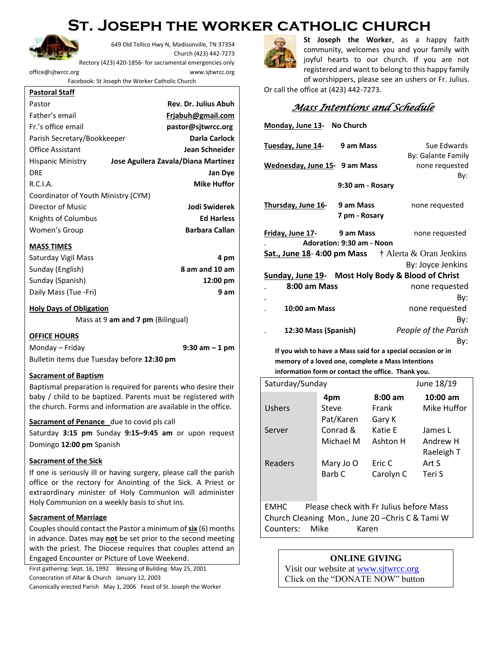# **St. Joseph the worker catholic church**



649 Old Tellico Hwy N, Madisonville, TN 37354 Church (423) 442-7273

Rectory (423) 420-1856- for sacramental emergencies only [office@sjtwrcc.org](mailto:office@sjtwrcc.org) www.sjtwrcc.org

Facebook: St Joseph the Worker Catholic Church

#### **Pastoral Staff**

| Pastor                              | <b>Rev. Dr. Julius Abuh</b>         |
|-------------------------------------|-------------------------------------|
| Father's email                      | Friabuh@gmail.com                   |
| Fr.'s office email                  | pastor@sitwrcc.org                  |
| Parish Secretary/Bookkeeper         | Darla Carlock                       |
| <b>Office Assistant</b>             | <b>Jean Schneider</b>               |
| <b>Hispanic Ministry</b>            | Jose Aguilera Zavala/Diana Martinez |
| <b>DRE</b>                          | <b>Jan Dye</b>                      |
| R.C.I.A.                            | <b>Mike Huffor</b>                  |
| Coordinator of Youth Ministry (CYM) |                                     |
| Director of Music                   | Jodi Swiderek                       |
| Knights of Columbus                 | <b>Ed Harless</b>                   |
| Women's Group                       | <b>Barbara Callan</b>               |

#### **MASS TIMES**

| Saturday Vigil Mass   | 4 pm               |
|-----------------------|--------------------|
| Sunday (English)      | 8 am and 10 am     |
| Sunday (Spanish)      | $12:00 \text{ pm}$ |
| Daily Mass (Tue -Fri) | 9 am               |

#### **Holy Days of Obligation**

Mass at 9 **am and 7 pm** (Bilingual)

#### **OFFICE HOURS**

# Monday – Friday **9:30 am – 1 pm** Bulletin items due Tuesday before **12:30 pm**

#### **Sacrament of Baptism**

Baptismal preparation is required for parents who desire their baby / child to be baptized. Parents must be registered with the church. Forms and information are available in the office.

#### **Sacrament of Penance** due to covid pls call

Saturday **3:15 pm** Sunday **9:15–9:45 am** or upon request Domingo **12:00 pm** Spanish

#### **Sacrament of the Sick**

If one is seriously ill or having surgery, please call the parish office or the rectory for Anointing of the Sick. A Priest or extraordinary minister of Holy Communion will administer Holy Communion on a weekly basis to shut ins.

#### **Sacrament of Marriage**

Couples should contact the Pastor a minimum of **six** (6) months in advance. Dates may **not** be set prior to the second meeting with the priest. The Diocese requires that couples attend an Engaged Encounter or Picture of Love Weekend.

First gathering: Sept. 16, 1992 Blessing of Building: May 25, 2001 Consecration of Altar & Church January 12, 2003

Canonically erected Parish May 1, 2006 Feast of St. Joseph the Worker



**St Joseph the Worker**, as a happy faith community, welcomes you and your family with joyful hearts to our church. If you are not registered and want to belong to this happy family of worshippers, please see an ushers or Fr. Julius.

Or call the office at (423) 442-7273.

# *Mass Intentions and Schedule*

| Monday, June 13- No Church                                   |                           |                                                   |  |  |
|--------------------------------------------------------------|---------------------------|---------------------------------------------------|--|--|
| Tuesday, June 14-                                            | 9 am Mass                 | Sue Edwards                                       |  |  |
|                                                              |                           | By: Galante Family                                |  |  |
| Wednesday, June 15- 9 am Mass                                |                           | none requested                                    |  |  |
|                                                              |                           | By:                                               |  |  |
|                                                              | 9:30 am - Rosary          |                                                   |  |  |
| <u>Thursday, June 16-</u>                                    | 9 am Mass                 | none requested                                    |  |  |
|                                                              | 7 pm - Rosary             |                                                   |  |  |
| Friday, June 17-                                             | 9 am Mass                 | none requested                                    |  |  |
|                                                              | Adoration: 9:30 am - Noon |                                                   |  |  |
| Sat., June 18-4:00 pm Mass $\dagger$ Alerta & Oran Jenkins   |                           |                                                   |  |  |
|                                                              |                           | By: Joyce Jenkins                                 |  |  |
|                                                              |                           | Sunday, June 19- Most Holy Body & Blood of Christ |  |  |
| 8:00 am Mass                                                 |                           | none requested                                    |  |  |
|                                                              |                           | By:                                               |  |  |
| <b>10:00 am Mass</b>                                         |                           | none requested                                    |  |  |
|                                                              |                           | By:                                               |  |  |
| 12:30 Mass (Spanish)                                         |                           | People of the Parish                              |  |  |
|                                                              |                           | By:                                               |  |  |
| If you wish to have a Mass said for a special occasion or in |                           |                                                   |  |  |

**memory of a loved one, complete a Mass Intentions information form or contact the office. Thank you.**

| Saturday/Sunday |           |           | June 18/19  |
|-----------------|-----------|-----------|-------------|
|                 | 4pm       | $8:00$ am | $10:00$ am  |
| <b>Ushers</b>   | Steve     | Frank     | Mike Huffor |
|                 | Pat/Karen | Gary K    |             |
| Server          | Conrad &  | Katie E   | James L     |
|                 | Michael M | Ashton H  | Andrew H    |
|                 |           |           | Raeleigh T  |
| Readers         | Mary Jo O | Eric C    | Art S       |
|                 | Barb C    | Carolyn C | Teri S      |
|                 |           |           |             |

EMHC Please check with Fr Julius before Mass Church Cleaning Mon., June 20 –Chris C & Tami W Counters: Mike Karen

## **ONLINE GIVING**

Visit our website at [www.sjtwrcc.org](http://www.sjtwrcc.org/) Click on the "DONATE NOW" button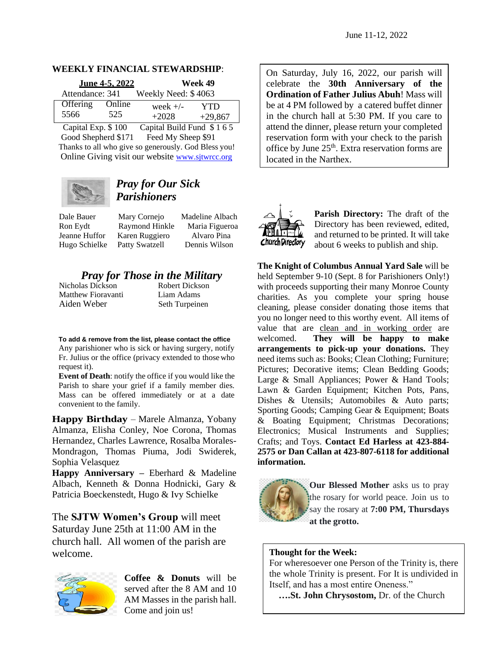### **WEEKLY FINANCIAL STEWARDSHIP**:

|                 | June 4-5, 2022 |                     | Week 49   |
|-----------------|----------------|---------------------|-----------|
| Attendance: 341 |                | Weekly Need: \$4063 |           |
| Offering        | Online         | week $+/-$          | YTD       |
| 5566            | 525            | $+2028$             | $+29,867$ |

Capital Exp. \$ 100 Capital Build Fund \$ 1 6 5 Good Shepherd \$171 Feed My Sheep \$91 Thanks to all who give so generously. God Bless you! Online Giving visit our website [www.sjtwrcc.org](http://www.sjtwrcc.org/)



# *Pray for Our Sick Parishioners*

Dale Bauer Mary Cornejo Madeline Albach Ron Eydt Raymond Hinkle Maria Figueroa Jeanne Huffor Karen Ruggiero Alvaro Pina Hugo Schielke Patty Swatzell Dennis Wilson

# *Pray for Those in the Military*<br>las Dickson **Robert Dickson**

Nicholas Dickson Matthew Fioravanti Liam Adams Aiden Weber Seth Turpeinen

**To add & remove from the list, please contact the office**

Any parishioner who is sick or having surgery, notify Fr. Julius or the office (privacy extended to those who request it).

**Event of Death**: notify the office if you would like the Parish to share your grief if a family member dies. Mass can be offered immediately or at a date convenient to the family.

**Happy Birthday** – Marele Almanza, Yobany Almanza, Elisha Conley, Noe Corona, Thomas Hernandez, Charles Lawrence, Rosalba Morales-Mondragon, Thomas Piuma, Jodi Swiderek, Sophia Velasquez

**Happy Anniversary –** Eberhard & Madeline Albach, Kenneth & Donna Hodnicki, Gary & Patricia Boeckenstedt, Hugo & Ivy Schielke

The **SJTW Women's Group** will meet Saturday June 25th at 11:00 AM in the church hall. All women of the parish are welcome.



**Coffee & Donuts** will be served after the 8 AM and 10 AM Masses in the parish hall. Come and join us!

On Saturday, July 16, 2022, our parish will celebrate the **30th Anniversary of the Ordination of Father Julius Abuh**! Mass will be at 4 PM followed by a catered buffet dinner in the church hall at 5:30 PM. If you care to attend the dinner, please return your completed reservation form with your check to the parish office by June 25<sup>th</sup>. Extra reservation forms are located in the Narthex.



**Parish Directory:** The draft of the Directory has been reviewed, edited, and returned to be printed. It will take about 6 weeks to publish and ship.

**The Knight of Columbus Annual Yard Sale** will be held September 9-10 (Sept. 8 for Parishioners Only!) with proceeds supporting their many Monroe County charities. As you complete your spring house cleaning, please consider donating those items that you no longer need to this worthy event. All items of value that are clean and in working order are welcomed. **They will be happy to make arrangements to pick-up your donations.** They need items such as: Books; Clean Clothing; Furniture; Pictures; Decorative items; Clean Bedding Goods; Large & Small Appliances; Power & Hand Tools; Lawn & Garden Equipment; Kitchen Pots, Pans, Dishes & Utensils; Automobiles & Auto parts; Sporting Goods; Camping Gear & Equipment; Boats & Boating Equipment; Christmas Decorations; Electronics; Musical Instruments and Supplies; Crafts; and Toys. **Contact Ed Harless at 423-884- 2575 or Dan Callan at 423-807-6118 for additional information.**



**Our Blessed Mother** asks us to pray the rosary for world peace. Join us to say the rosary at **7:00 PM, Thursdays at the grotto.** 

## **Thought for the Week:**

For wheresoever one Person of the Trinity is, there the whole Trinity is present. For It is undivided in Itself, and has a most entire Oneness."

 **….St. John Chrysostom,** Dr. of the Church